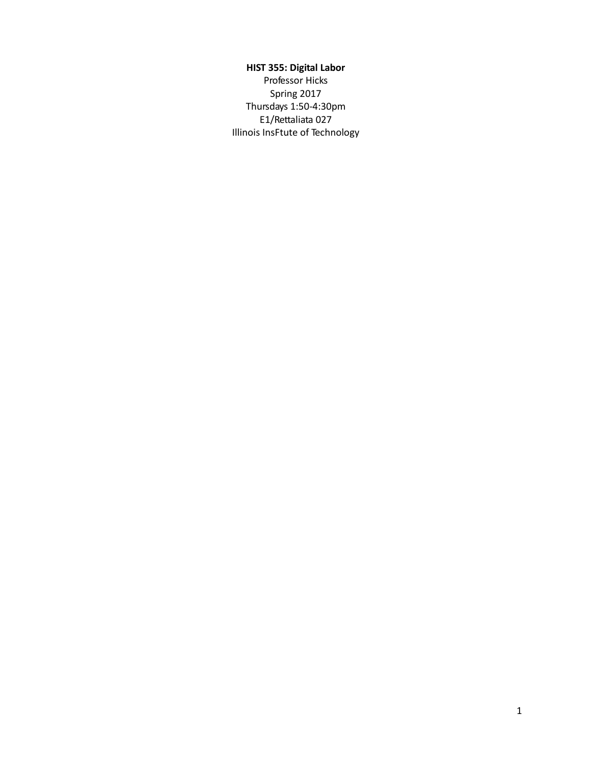# **HIST 355: Digital Labor**

Professor Hicks Spring 2017 Thursdays 1:50-4:30pm E1/Rettaliata 027 Illinois InsFtute of Technology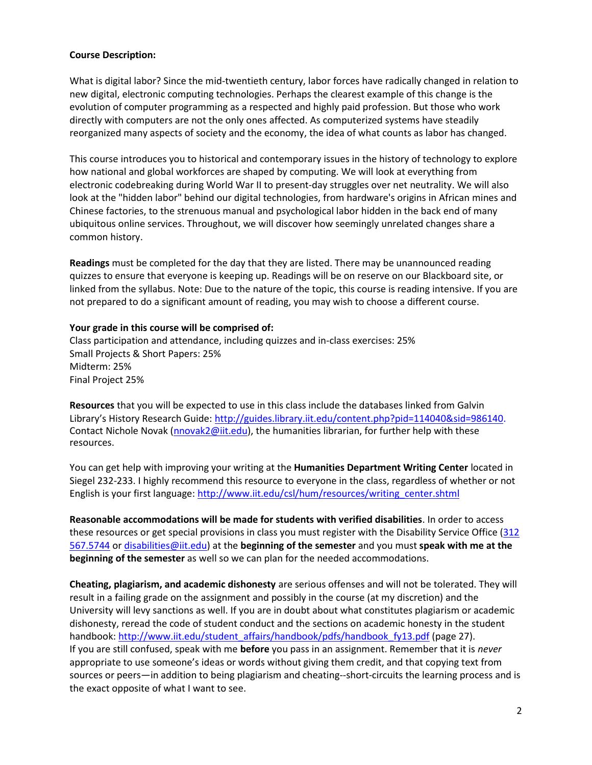#### **Course Description:**

What is digital labor? Since the mid-twentieth century, labor forces have radically changed in relation to new digital, electronic computing technologies. Perhaps the clearest example of this change is the evolution of computer programming as a respected and highly paid profession. But those who work directly with computers are not the only ones affected. As computerized systems have steadily reorganized many aspects of society and the economy, the idea of what counts as labor has changed.

This course introduces you to historical and contemporary issues in the history of technology to explore how national and global workforces are shaped by computing. We will look at everything from electronic codebreaking during World War II to present-day struggles over net neutrality. We will also look at the "hidden labor" behind our digital technologies, from hardware's origins in African mines and Chinese factories, to the strenuous manual and psychological labor hidden in the back end of many ubiquitous online services. Throughout, we will discover how seemingly unrelated changes share a common history.

**Readings** must be completed for the day that they are listed. There may be unannounced reading quizzes to ensure that everyone is keeping up. Readings will be on reserve on our Blackboard site, or linked from the syllabus. Note: Due to the nature of the topic, this course is reading intensive. If you are not prepared to do a significant amount of reading, you may wish to choose a different course.

#### **Your grade in this course will be comprised of:**

Class participation and attendance, including quizzes and in-class exercises: 25% Small Projects & Short Papers: 25% Midterm: 25% Final Project 25%

**Resources** that you will be expected to use in this class include the databases linked from Galvin Library's History Research Guide: [http://guides.library.iit.edu/content.php?pid=114040&sid=986140.](http://guides.library.iit.edu/content.php?pid=114040&sid=986140) Contact Nichole Novak [\(nnovak2@iit.edu\)](mailto:nnovak2@iit.edu), the humanities librarian, for further help with these resources.

You can get help with improving your writing at the **Humanities Department Writing Center** located in Siegel 232-233. I highly recommend this resource to everyone in the class, regardless of whether or not English is your first language: [http://www.iit.edu/csl/hum/resources/writing\\_center.shtml](http://www.iit.edu/csl/hum/resources/writing_center.shtml)

**Reasonable accommodations will be made for students with verified disabilities**. In order to access these resources or get special provisions in class you must register with the Disability Service Office [\(312](tel:312%20567.5744)  [567.5744](tel:312%20567.5744) o[r disabilities@iit.edu\)](mailto:disabilities@iit.edu) at the **beginning of the semester** and you must **speak with me at the beginning of the semester** as well so we can plan for the needed accommodations.

**Cheating, plagiarism, and academic dishonesty** are serious offenses and will not be tolerated. They will result in a failing grade on the assignment and possibly in the course (at my discretion) and the University will levy sanctions as well. If you are in doubt about what constitutes plagiarism or academic dishonesty, reread the code of student conduct and the sections on academic honesty in the student handbook: [http://www.iit.edu/student\\_affairs/handbook/pdfs/handbook\\_fy13.pdf](http://www.iit.edu/student_affairs/handbook/pdfs/handbook_fy13.pdf) (page 27). If you are still confused, speak with me **before** you pass in an assignment. Remember that it is *never* appropriate to use someone's ideas or words without giving them credit, and that copying text from sources or peers—in addition to being plagiarism and cheating--short-circuits the learning process and is the exact opposite of what I want to see.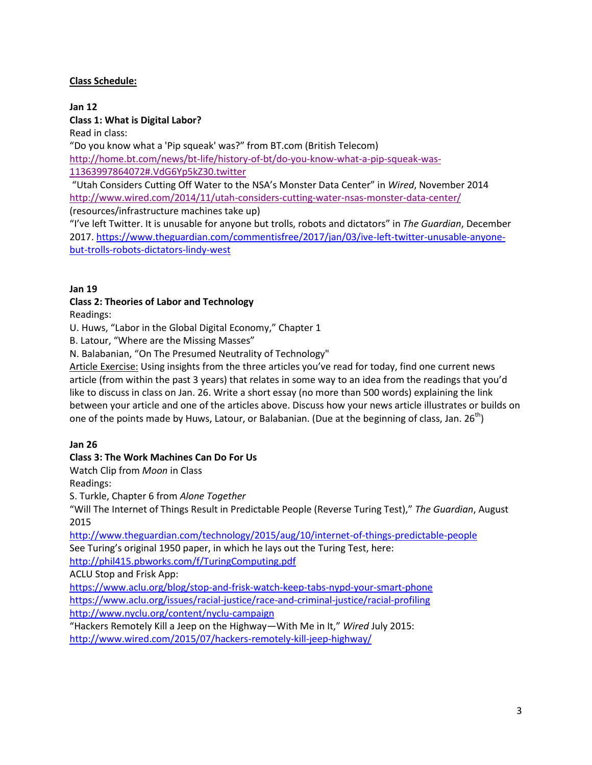# **Class Schedule:**

#### **Jan 12 Class 1: What is Digital Labor?**

Read in class:

"Do you know what a 'Pip squeak' was?" from BT.com (British Telecom)

[http://home.bt.com/news/bt-life/history-of-bt/do-you-know-what-a-pip-squeak-was-](http://home.bt.com/news/bt-life/history-of-bt/do-you-know-what-a-pip-squeak-was-11363997864072#.VdG6Yp5kZ30.twitter)[11363997864072#.VdG6Yp5kZ30.twitter](http://home.bt.com/news/bt-life/history-of-bt/do-you-know-what-a-pip-squeak-was-11363997864072#.VdG6Yp5kZ30.twitter)

"Utah Considers Cutting Off Water to the NSA's Monster Data Center" in *Wired*, November 2014 <http://www.wired.com/2014/11/utah-considers-cutting-water-nsas-monster-data-center/>

(resources/infrastructure machines take up)

"I've left Twitter. It is unusable for anyone but trolls, robots and dictators" in *The Guardian*, December 2017[. https://www.theguardian.com/commentisfree/2017/jan/03/ive-left-twitter-unusable-anyone](https://www.theguardian.com/commentisfree/2017/jan/03/ive-left-twitter-unusable-anyone-but-trolls-robots-dictators-lindy-west)[but-trolls-robots-dictators-lindy-west](https://www.theguardian.com/commentisfree/2017/jan/03/ive-left-twitter-unusable-anyone-but-trolls-robots-dictators-lindy-west)

# **Jan 19**

# **Class 2: Theories of Labor and Technology**

Readings:

U. Huws, "Labor in the Global Digital Economy," Chapter 1

B. Latour, "Where are the Missing Masses"

N. Balabanian, "On The Presumed Neutrality of Technology"

Article Exercise: Using insights from the three articles you've read for today, find one current news article (from within the past 3 years) that relates in some way to an idea from the readings that you'd like to discuss in class on Jan. 26. Write a short essay (no more than 500 words) explaining the link between your article and one of the articles above. Discuss how your news article illustrates or builds on one of the points made by Huws, Latour, or Balabanian. (Due at the beginning of class, Jan. 26<sup>th</sup>)

# **Jan 26**

# **Class 3: The Work Machines Can Do For Us**

Watch Clip from *Moon* in Class

Readings:

S. Turkle, Chapter 6 from *Alone Together*

"Will The Internet of Things Result in Predictable People (Reverse Turing Test)," *The Guardian*, August 2015

<http://www.theguardian.com/technology/2015/aug/10/internet-of-things-predictable-people> See Turing's original 1950 paper, in which he lays out the Turing Test, here: <http://phil415.pbworks.com/f/TuringComputing.pdf>

ACLU Stop and Frisk App:

<https://www.aclu.org/blog/stop-and-frisk-watch-keep-tabs-nypd-your-smart-phone> <https://www.aclu.org/issues/racial-justice/race-and-criminal-justice/racial-profiling> <http://www.nyclu.org/content/nyclu-campaign>

"Hackers Remotely Kill a Jeep on the Highway—With Me in It," *Wired* July 2015: <http://www.wired.com/2015/07/hackers-remotely-kill-jeep-highway/>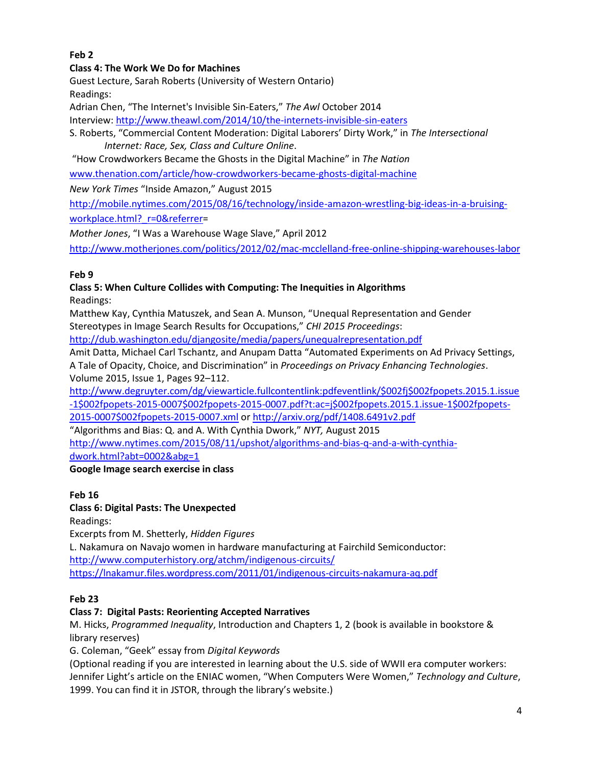# **Feb 2**

## **Class 4: The Work We Do for Machines**

Guest Lecture, Sarah Roberts (University of Western Ontario) Readings:

Adrian Chen, "The Internet's Invisible Sin-Eaters," *The Awl* October 2014

Interview:<http://www.theawl.com/2014/10/the-internets-invisible-sin-eaters>

S. Roberts, "Commercial Content Moderation: Digital Laborers' Dirty Work," in *The Intersectional Internet: Race, Sex, Class and Culture Online*.

"How Crowdworkers Became the Ghosts in the Digital Machine" in *The Nation*

[www.thenation.com/article/how-crowdworkers-became-ghosts-digital-machine](http://www.thenation.com/article/how-crowdworkers-became-ghosts-digital-machine/)

*New York Times* "Inside Amazon," August 2015

[http://mobile.nytimes.com/2015/08/16/technology/inside-amazon-wrestling-big-ideas-in-a-bruising-](http://mobile.nytimes.com/2015/08/16/technology/inside-amazon-wrestling-big-ideas-in-a-bruising-workplace.html?_r=0&referrer)

workplace.html? r=0&referrer=

*Mother Jones*, "I Was a Warehouse Wage Slave," April 2012

<http://www.motherjones.com/politics/2012/02/mac-mcclelland-free-online-shipping-warehouses-labor>

#### **Feb 9**

**Class 5: When Culture Collides with Computing: The Inequities in Algorithms** Readings:

Matthew Kay, Cynthia Matuszek, and Sean A. Munson, "Unequal Representation and Gender Stereotypes in Image Search Results for Occupations," *CHI 2015 Proceedings*:

<http://dub.washington.edu/djangosite/media/papers/unequalrepresentation.pdf>

Amit Datta, Michael Carl Tschantz, and Anupam Datta "Automated Experiments on Ad Privacy Settings, A Tale of Opacity, Choice, and Discrimination" in *Proceedings on Privacy Enhancing Technologies*. Volume 2015, Issue 1, Pages 92–112.

[http://www.degruyter.com/dg/viewarticle.fullcontentlink:pdfeventlink/\\$002fj\\$002fpopets.2015.1.issue](http://www.degruyter.com/dg/viewarticle.fullcontentlink:pdfeventlink/$002fj$002fpopets.2015.1.issue-1$002fpopets-2015-0007$002fpopets-2015-0007.pdf?t:ac=j$002fpopets.2015.1.issue-1$002fpopets-2015-0007$002fpopets-2015-0007.xml) [-1\\$002fpopets-2015-0007\\$002fpopets-2015-0007.pdf?t:ac=j\\$002fpopets.2015.1.issue-1\\$002fpopets-](http://www.degruyter.com/dg/viewarticle.fullcontentlink:pdfeventlink/$002fj$002fpopets.2015.1.issue-1$002fpopets-2015-0007$002fpopets-2015-0007.pdf?t:ac=j$002fpopets.2015.1.issue-1$002fpopets-2015-0007$002fpopets-2015-0007.xml)

[2015-0007\\$002fpopets-2015-0007.xml](http://www.degruyter.com/dg/viewarticle.fullcontentlink:pdfeventlink/$002fj$002fpopets.2015.1.issue-1$002fpopets-2015-0007$002fpopets-2015-0007.pdf?t:ac=j$002fpopets.2015.1.issue-1$002fpopets-2015-0007$002fpopets-2015-0007.xml) or <http://arxiv.org/pdf/1408.6491v2.pdf>

"Algorithms and Bias: Q. and A. With Cynthia Dwork," *NYT,* August 2015

[http://www.nytimes.com/2015/08/11/upshot/algorithms-and-bias-q-and-a-with-cynthia](http://www.nytimes.com/2015/08/11/upshot/algorithms-and-bias-q-and-a-with-cynthia-dwork.html?abt=0002&abg=1)[dwork.html?abt=0002&abg=1](http://www.nytimes.com/2015/08/11/upshot/algorithms-and-bias-q-and-a-with-cynthia-dwork.html?abt=0002&abg=1)

## **Google Image search exercise in class**

## **Feb 16**

## **Class 6: Digital Pasts: The Unexpected**

Readings:

Excerpts from M. Shetterly, *Hidden Figures*

L. Nakamura on Navajo women in hardware manufacturing at Fairchild Semiconductor: <http://www.computerhistory.org/atchm/indigenous-circuits/> <https://lnakamur.files.wordpress.com/2011/01/indigenous-circuits-nakamura-aq.pdf>

## **Feb 23**

## **Class 7: Digital Pasts: Reorienting Accepted Narratives**

M. Hicks, *Programmed Inequality*, Introduction and Chapters 1, 2 (book is available in bookstore & library reserves)

G. Coleman, "Geek" essay from *Digital Keywords*

(Optional reading if you are interested in learning about the U.S. side of WWII era computer workers: Jennifer Light's article on the ENIAC women, "When Computers Were Women," *Technology and Culture*, 1999. You can find it in JSTOR, through the library's website.)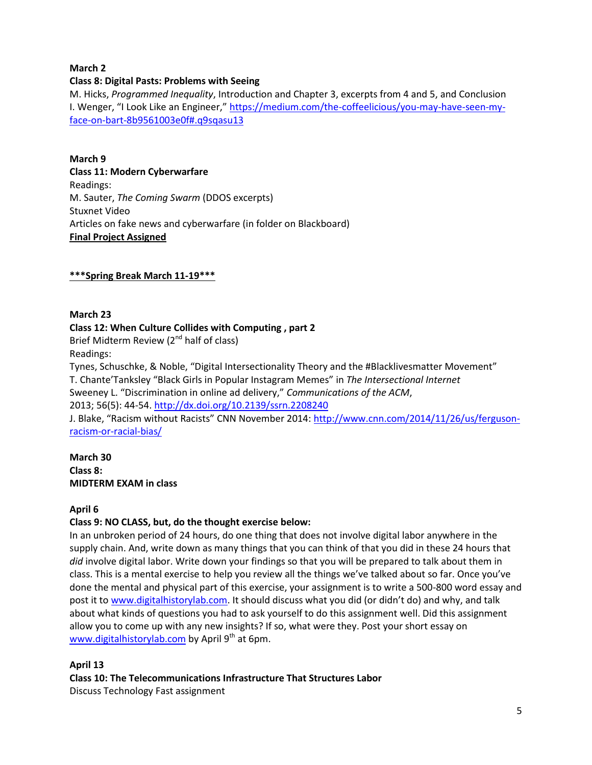## **March 2**

#### **Class 8: Digital Pasts: Problems with Seeing**

M. Hicks, *Programmed Inequality*, Introduction and Chapter 3, excerpts from 4 and 5, and Conclusion I. Wenger, "I Look Like an Engineer," [https://medium.com/the-coffeelicious/you-may-have-seen-my](https://medium.com/the-coffeelicious/you-may-have-seen-my-face-on-bart-8b9561003e0f#.q9sqasu13)[face-on-bart-8b9561003e0f#.q9sqasu13](https://medium.com/the-coffeelicious/you-may-have-seen-my-face-on-bart-8b9561003e0f#.q9sqasu13)

**March 9 Class 11: Modern Cyberwarfare** Readings: M. Sauter, *The Coming Swarm* (DDOS excerpts) Stuxnet Video Articles on fake news and cyberwarfare (in folder on Blackboard) **Final Project Assigned**

#### **\*\*\*Spring Break March 11-19\*\*\***

#### **March 23**

#### **Class 12: When Culture Collides with Computing , part 2**

Brief Midterm Review  $(2^{nd}$  half of class)

Readings:

Tynes, Schuschke, & Noble, "Digital Intersectionality Theory and the #Blacklivesmatter Movement" T. Chante'Tanksley "Black Girls in Popular Instagram Memes" in *The Intersectional Internet* Sweeney L. "Discrimination in online ad delivery," *Communications of the ACM*, 2013; 56(5): 44-54[. http://dx.doi.org/10.2139/ssrn.2208240](http://dx.doi.org/10.2139/ssrn.2208240) J. Blake, "Racism without Racists" CNN November 2014: [http://www.cnn.com/2014/11/26/us/ferguson-](http://www.cnn.com/2014/11/26/us/ferguson-racism-or-racial-bias/)

[racism-or-racial-bias/](http://www.cnn.com/2014/11/26/us/ferguson-racism-or-racial-bias/)

**March 30 Class 8: MIDTERM EXAM in class**

#### **April 6**

## **Class 9: NO CLASS, but, do the thought exercise below:**

In an unbroken period of 24 hours, do one thing that does not involve digital labor anywhere in the supply chain. And, write down as many things that you can think of that you did in these 24 hours that *did* involve digital labor. Write down your findings so that you will be prepared to talk about them in class. This is a mental exercise to help you review all the things we've talked about so far. Once you've done the mental and physical part of this exercise, your assignment is to write a 500-800 word essay and post it t[o www.digitalhistorylab.com.](http://www.digitalhistorylab.com/) It should discuss what you did (or didn't do) and why, and talk about what kinds of questions you had to ask yourself to do this assignment well. Did this assignment allow you to come up with any new insights? If so, what were they. Post your short essay on [www.digitalhistorylab.com](http://www.digitalhistorylab.com/) by April  $9<sup>th</sup>$  at 6pm.

#### **April 13**

**Class 10: The Telecommunications Infrastructure That Structures Labor**

Discuss Technology Fast assignment